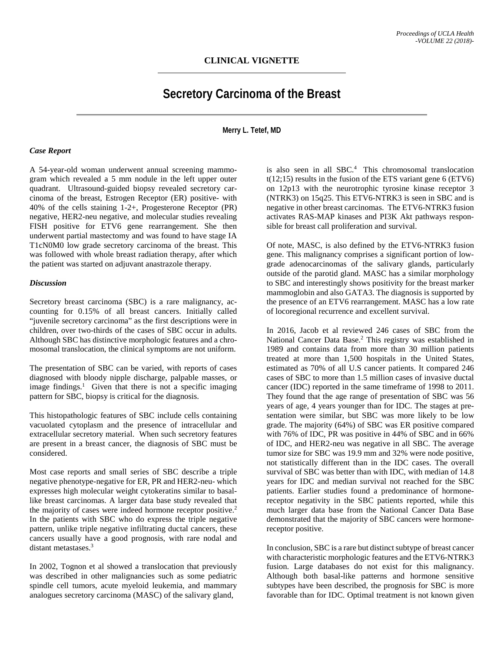## **Secretory Carcinoma of the Breast**

**Merry L. Tetef, MD**

## *Case Report*

A 54-year-old woman underwent annual screening mammogram which revealed a 5 mm nodule in the left upper outer quadrant. Ultrasound-guided biopsy revealed secretory carcinoma of the breast, Estrogen Receptor (ER) positive- with 40% of the cells staining 1-2+, Progesterone Receptor (PR) negative, HER2-neu negative, and molecular studies revealing FISH positive for ETV6 gene rearrangement. She then underwent partial mastectomy and was found to have stage IA T1cN0M0 low grade secretory carcinoma of the breast. This was followed with whole breast radiation therapy, after which the patient was started on adjuvant anastrazole therapy.

## *Discussion*

Secretory breast carcinoma (SBC) is a rare malignancy, accounting for 0.15% of all breast cancers. Initially called "juvenile secretory carcinoma" as the first descriptions were in children, over two-thirds of the cases of SBC occur in adults. Although SBC has distinctive morphologic features and a chromosomal translocation, the clinical symptoms are not uniform.

The presentation of SBC can be varied, with reports of cases diagnosed with bloody nipple discharge, palpable masses, or image findings.<sup>1</sup> Given that there is not a specific imaging pattern for SBC, biopsy is critical for the diagnosis.

This histopathologic features of SBC include cells containing vacuolated cytoplasm and the presence of intracellular and extracellular secretory material. When such secretory features are present in a breast cancer, the diagnosis of SBC must be considered.

Most case reports and small series of SBC describe a triple negative phenotype-negative for ER, PR and HER2-neu- which expresses high molecular weight cytokeratins similar to basallike breast carcinomas. A larger data base study revealed that the majority of cases were indeed hormone receptor positive.<sup>2</sup> In the patients with SBC who do express the triple negative pattern, unlike triple negative infiltrating ductal cancers, these cancers usually have a good prognosis, with rare nodal and distant metastases.<sup>3</sup>

In 2002, Tognon et al showed a translocation that previously was described in other malignancies such as some pediatric spindle cell tumors, acute myeloid leukemia, and mammary analogues secretory carcinoma (MASC) of the salivary gland,

is also seen in all SBC.4 This chromosomal translocation  $t(12;15)$  results in the fusion of the ETS variant gene 6 (ETV6) on 12p13 with the neurotrophic tyrosine kinase receptor 3 (NTRK3) on 15q25. This ETV6-NTRK3 is seen in SBC and is negative in other breast carcinomas. The ETV6-NTRK3 fusion activates RAS-MAP kinases and PI3K Akt pathways responsible for breast call proliferation and survival.

Of note, MASC, is also defined by the ETV6-NTRK3 fusion gene. This malignancy comprises a significant portion of lowgrade adenocarcinomas of the salivary glands, particularly outside of the parotid gland. MASC has a similar morphology to SBC and interestingly shows positivity for the breast marker mammoglobin and also GATA3. The diagnosis is supported by the presence of an ETV6 rearrangement. MASC has a low rate of locoregional recurrence and excellent survival.

In 2016, Jacob et al reviewed 246 cases of SBC from the National Cancer Data Base.<sup>2</sup> This registry was established in 1989 and contains data from more than 30 million patients treated at more than 1,500 hospitals in the United States, estimated as 70% of all U.S cancer patients. It compared 246 cases of SBC to more than 1.5 million cases of invasive ductal cancer (IDC) reported in the same timeframe of 1998 to 2011. They found that the age range of presentation of SBC was 56 years of age, 4 years younger than for IDC. The stages at presentation were similar, but SBC was more likely to be low grade. The majority (64%) of SBC was ER positive compared with 76% of IDC, PR was positive in 44% of SBC and in 66% of IDC, and HER2-neu was negative in all SBC. The average tumor size for SBC was 19.9 mm and 32% were node positive, not statistically different than in the IDC cases. The overall survival of SBC was better than with IDC, with median of 14.8 years for IDC and median survival not reached for the SBC patients. Earlier studies found a predominance of hormonereceptor negativity in the SBC patients reported, while this much larger data base from the National Cancer Data Base demonstrated that the majority of SBC cancers were hormonereceptor positive.

In conclusion, SBC is a rare but distinct subtype of breast cancer with characteristic morphologic features and the ETV6-NTRK3 fusion. Large databases do not exist for this malignancy. Although both basal-like patterns and hormone sensitive subtypes have been described, the prognosis for SBC is more favorable than for IDC. Optimal treatment is not known given